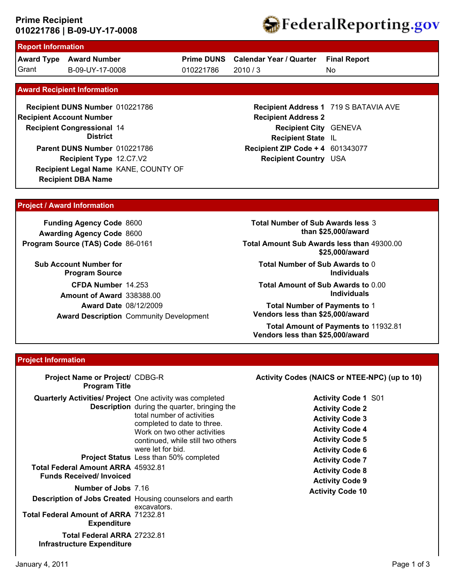## **010221786 | B-09-UY-17-0008 Prime Recipient**



# **Report Information**

**Award Type Award Number** Grant B-09-UY-17-0008 010221786 2010 / 3

**Prime DUNS Calendar Year / Quarter**

010221786

**Final Report**

No

#### **Award Recipient Information**

**Recipient DBA Name Recipient DUNS Number** 010221786 **Recipient Congressional 14 Recipient Account Number District Recipient Type** 12.C7.V2 **Parent DUNS Number** 010221786 **Recipient Legal Name** KANE, COUNTY OF

### **Recipient Address 1** 719 S BATAVIA AVE **Recipient Address 2 Recipient City** GENEVA **Recipient State** IL **Recipient ZIP Code + 4** 601343077 **Recipient Country** USA

#### **Project / Award Information**

**Funding Agency Code** 8600 **Awarding Agency Code** 8600 **Program Source (TAS) Code** 86-0161

**Sub Account Number for Program Source CFDA Number** 14.253 **Award Date** 08/12/2009 **Award Description** Community Development **Amount of Award** 338388.00

**Total Number of Sub Awards less** 3 **than \$25,000/award**

**Total Amount Sub Awards less than** 49300.00 **\$25,000/award**

**Total Number of Sub Awards to** 0 **Individuals**

**Total Amount of Sub Awards to** 0.00 **Individuals**

**Total Number of Payments to** 1 **Vendors less than \$25,000/award**

**Total Amount of Payments to** 11932.81 **Vendors less than \$25,000/award**

#### **Project Information**

| Project Name or Project/ CDBG-R<br><b>Program Title</b>                                   |                                                                                                                                                                                                            | Activity Codes (NAICS or NTEE-NPC) (up to 10)                                                                                                                |
|-------------------------------------------------------------------------------------------|------------------------------------------------------------------------------------------------------------------------------------------------------------------------------------------------------------|--------------------------------------------------------------------------------------------------------------------------------------------------------------|
| <b>Quarterly Activities/ Project</b> One activity was completed                           | <b>Description</b> during the quarter, bringing the<br>total number of activities<br>completed to date to three.<br>Work on two other activities<br>continued, while still two others<br>were let for bid. | <b>Activity Code 1 S01</b><br><b>Activity Code 2</b><br><b>Activity Code 3</b><br><b>Activity Code 4</b><br><b>Activity Code 5</b><br><b>Activity Code 6</b> |
| <b>Total Federal Amount ARRA 45932.81</b><br><b>Funds Received/Invoiced</b>               | <b>Project Status</b> Less than 50% completed                                                                                                                                                              | <b>Activity Code 7</b><br><b>Activity Code 8</b>                                                                                                             |
| Number of Jobs 7.16<br><b>Total Federal Amount of ARRA 71232.81</b><br><b>Expenditure</b> | <b>Description of Jobs Created Housing counselors and earth</b><br>excavators.                                                                                                                             | <b>Activity Code 9</b><br><b>Activity Code 10</b>                                                                                                            |
| <b>Total Federal ARRA 27232.81</b><br><b>Infrastructure Expenditure</b>                   |                                                                                                                                                                                                            |                                                                                                                                                              |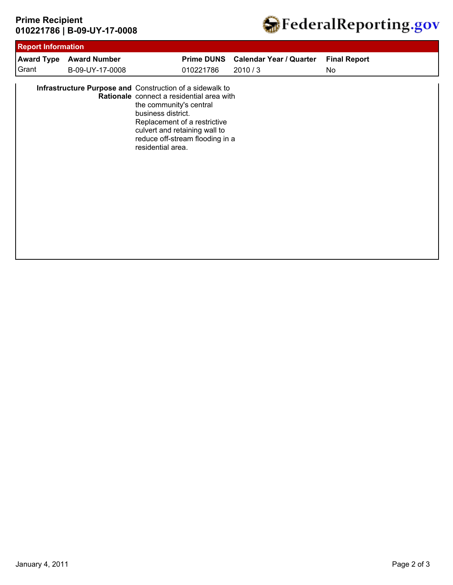## **010221786 | B-09-UY-17-0008 Prime Recipient**



| <b>Award Type</b> | <b>Award Number</b> |                                                                                                                                                                                                                                                                                 | Prime DUNS Calendar Year / Quarter | <b>Final Report</b> |
|-------------------|---------------------|---------------------------------------------------------------------------------------------------------------------------------------------------------------------------------------------------------------------------------------------------------------------------------|------------------------------------|---------------------|
| Grant             | B-09-UY-17-0008     | 010221786                                                                                                                                                                                                                                                                       | 2010/3                             | No                  |
|                   |                     | Infrastructure Purpose and Construction of a sidewalk to<br>Rationale connect a residential area with<br>the community's central<br>business district.<br>Replacement of a restrictive<br>culvert and retaining wall to<br>reduce off-stream flooding in a<br>residential area. |                                    |                     |